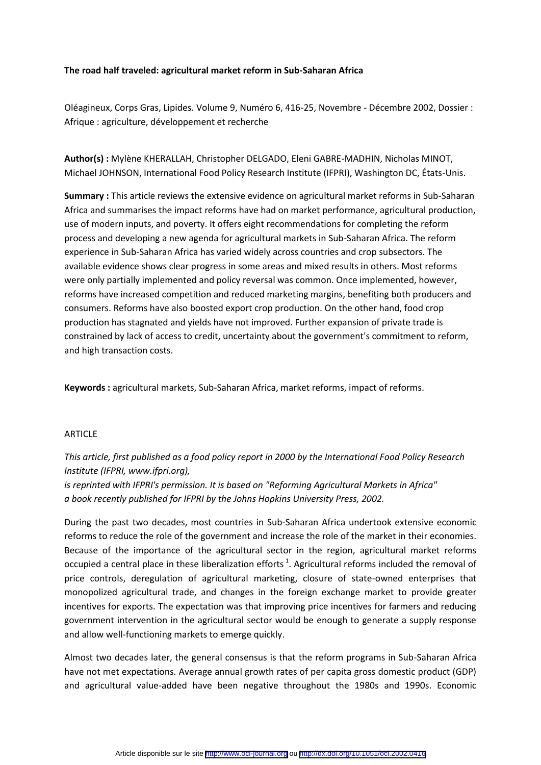#### **The road half traveled: agricultural market reform in Sub-Saharan Africa**

Oléagineux, Corps Gras, Lipides. Volume 9, Numéro 6, 416-25, Novembre - Décembre 2002, Dossier : Afrique : agriculture, développement et recherche

**Author(s) :** Mylène KHERALLAH, Christopher DELGADO, Eleni GABRE-MADHIN, Nicholas MINOT, Michael JOHNSON, International Food Policy Research Institute (IFPRI), Washington DC, États-Unis.

**Summary :** This article reviews the extensive evidence on agricultural market reforms in Sub-Saharan Africa and summarises the impact reforms have had on market performance, agricultural production, use of modern inputs, and poverty. It offers eight recommendations for completing the reform process and developing a new agenda for agricultural markets in Sub-Saharan Africa. The reform experience in Sub-Saharan Africa has varied widely across countries and crop subsectors. The available evidence shows clear progress in some areas and mixed results in others. Most reforms were only partially implemented and policy reversal was common. Once implemented, however, reforms have increased competition and reduced marketing margins, benefiting both producers and consumers. Reforms have also boosted export crop production. On the other hand, food crop production has stagnated and yields have not improved. Further expansion of private trade is constrained by lack of access to credit, uncertainty about the government's commitment to reform, and high transaction costs.

**Keywords :** agricultural markets, Sub-Saharan Africa, market reforms, impact of reforms.

#### ARTICLE

# *This article, first published as a food policy report in 2000 by the International Food Policy Research Institute (IFPRI, www.ifpri.org),*

*is reprinted with IFPRI's permission. It is based on "Reforming Agricultural Markets in Africa" a book recently published for IFPRI by the Johns Hopkins University Press, 2002.*

During the past two decades, most countries in Sub-Saharan Africa undertook extensive economic reforms to reduce the role of the government and increase the role of the market in their economies. Because of the importance of the agricultural sector in the region, agricultural market reforms occupied a central place in these liberalization efforts<sup>1</sup>. Agricultural reforms included the removal of price controls, deregulation of agricultural marketing, closure of state-owned enterprises that monopolized agricultural trade, and changes in the foreign exchange market to provide greater incentives for exports. The expectation was that improving price incentives for farmers and reducing government intervention in the agricultural sector would be enough to generate a supply response and allow well-functioning markets to emerge quickly.

Almost two decades later, the general consensus is that the reform programs in Sub-Saharan Africa have not met expectations. Average annual growth rates of per capita gross domestic product (GDP) and agricultural value-added have been negative throughout the 1980s and 1990s. Economic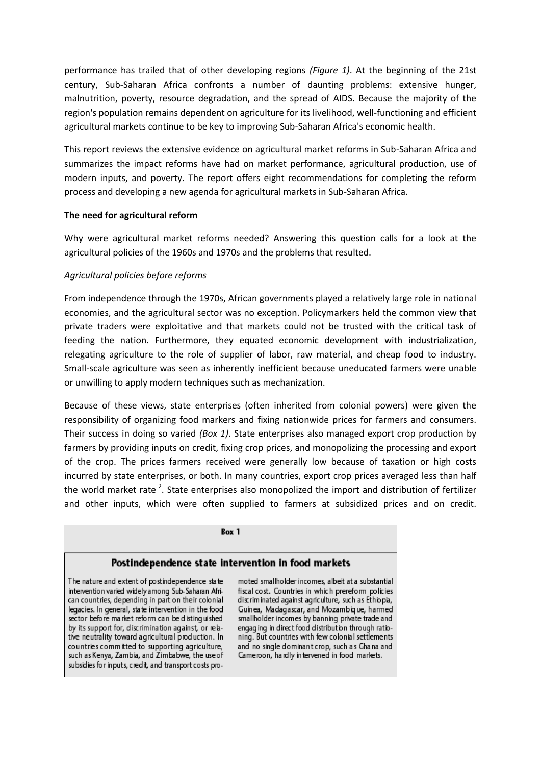performance has trailed that of other developing regions *(Figure 1)*. At the beginning of the 21st century, Sub-Saharan Africa confronts a number of daunting problems: extensive hunger, malnutrition, poverty, resource degradation, and the spread of AIDS. Because the majority of the region's population remains dependent on agriculture for its livelihood, well-functioning and efficient agricultural markets continue to be key to improving Sub-Saharan Africa's economic health.

This report reviews the extensive evidence on agricultural market reforms in Sub-Saharan Africa and summarizes the impact reforms have had on market performance, agricultural production, use of modern inputs, and poverty. The report offers eight recommendations for completing the reform process and developing a new agenda for agricultural markets in Sub-Saharan Africa.

### **The need for agricultural reform**

Why were agricultural market reforms needed? Answering this question calls for a look at the agricultural policies of the 1960s and 1970s and the problems that resulted.

### *Agricultural policies before reforms*

From independence through the 1970s, African governments played a relatively large role in national economies, and the agricultural sector was no exception. Policymarkers held the common view that private traders were exploitative and that markets could not be trusted with the critical task of feeding the nation. Furthermore, they equated economic development with industrialization, relegating agriculture to the role of supplier of labor, raw material, and cheap food to industry. Small-scale agriculture was seen as inherently inefficient because uneducated farmers were unable or unwilling to apply modern techniques such as mechanization.

Because of these views, state enterprises (often inherited from colonial powers) were given the responsibility of organizing food markers and fixing nationwide prices for farmers and consumers. Their success in doing so varied *(Box 1)*. State enterprises also managed export crop production by farmers by providing inputs on credit, fixing crop prices, and monopolizing the processing and export of the crop. The prices farmers received were generally low because of taxation or high costs incurred by state enterprises, or both. In many countries, export crop prices averaged less than half the world market rate<sup>2</sup>. State enterprises also monopolized the import and distribution of fertilizer and other inputs, which were often supplied to farmers at subsidized prices and on credit.

#### $Box 1$

# Postindependence state intervention in food markets

The nature and extent of postindependence state intervention varied widely among Sub-Saharan African countries, depending in part on their colonial legacies. In general, state intervention in the food sector before market reform can be disting uished by its support for, discrimination against, or relative neutrality toward agricultural production. In countries committed to supporting agriculture, such as Kenya, Zambia, and Zimbabwe, the use of subsidies for inputs, credit, and transport costs pro-

moted smallholder incomes, albeit at a substantial fiscal cost. Countries in which prereform policies discriminated against agriculture, such as Ethiopia, Guinea, Madagascar, and Mozambique, harmed smallholder incomes by banning private trade and engaging in direct food distribution through rationing. But countries with few colonial settlements and no single dominant crop, such as Ghana and Cameroon, hardly intervened in food markets.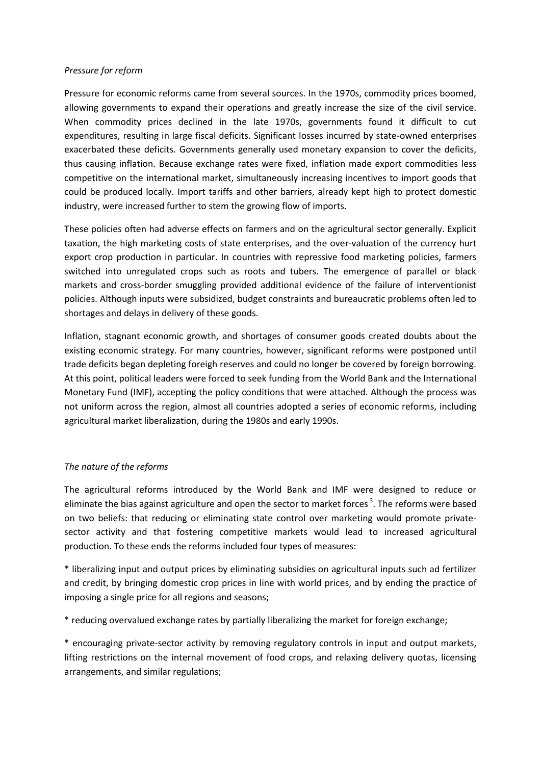### *Pressure for reform*

Pressure for economic reforms came from several sources. In the 1970s, commodity prices boomed, allowing governments to expand their operations and greatly increase the size of the civil service. When commodity prices declined in the late 1970s, governments found it difficult to cut expenditures, resulting in large fiscal deficits. Significant losses incurred by state-owned enterprises exacerbated these deficits. Governments generally used monetary expansion to cover the deficits, thus causing inflation. Because exchange rates were fixed, inflation made export commodities less competitive on the international market, simultaneously increasing incentives to import goods that could be produced locally. Import tariffs and other barriers, already kept high to protect domestic industry, were increased further to stem the growing flow of imports.

These policies often had adverse effects on farmers and on the agricultural sector generally. Explicit taxation, the high marketing costs of state enterprises, and the over-valuation of the currency hurt export crop production in particular. In countries with repressive food marketing policies, farmers switched into unregulated crops such as roots and tubers. The emergence of parallel or black markets and cross-border smuggling provided additional evidence of the failure of interventionist policies. Although inputs were subsidized, budget constraints and bureaucratic problems often led to shortages and delays in delivery of these goods.

Inflation, stagnant economic growth, and shortages of consumer goods created doubts about the existing economic strategy. For many countries, however, significant reforms were postponed until trade deficits began depleting foreigh reserves and could no longer be covered by foreign borrowing. At this point, political leaders were forced to seek funding from the World Bank and the International Monetary Fund (IMF), accepting the policy conditions that were attached. Although the process was not uniform across the region, almost all countries adopted a series of economic reforms, including agricultural market liberalization, during the 1980s and early 1990s.

# *The nature of the reforms*

The agricultural reforms introduced by the World Bank and IMF were designed to reduce or eliminate the bias against agriculture and open the sector to market forces<sup>3</sup>. The reforms were based on two beliefs: that reducing or eliminating state control over marketing would promote privatesector activity and that fostering competitive markets would lead to increased agricultural production. To these ends the reforms included four types of measures:

\* liberalizing input and output prices by eliminating subsidies on agricultural inputs such ad fertilizer and credit, by bringing domestic crop prices in line with world prices, and by ending the practice of imposing a single price for all regions and seasons;

\* reducing overvalued exchange rates by partially liberalizing the market for foreign exchange;

\* encouraging private-sector activity by removing regulatory controls in input and output markets, lifting restrictions on the internal movement of food crops, and relaxing delivery quotas, licensing arrangements, and similar regulations;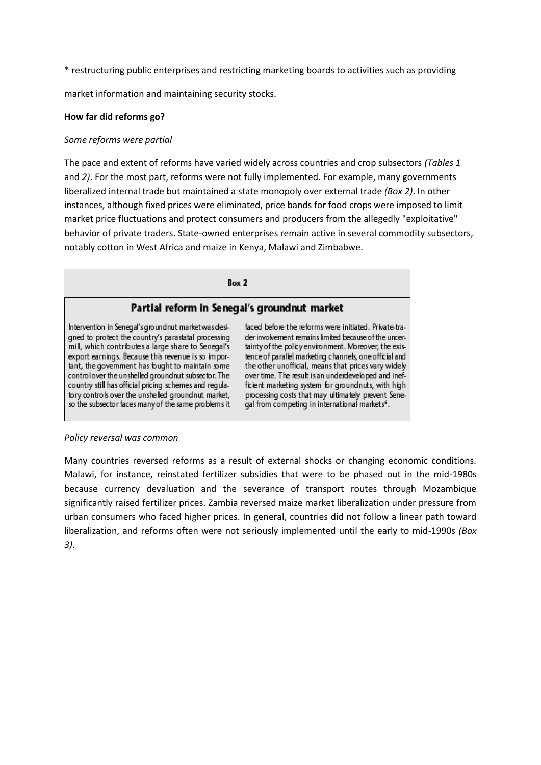\* restructuring public enterprises and restricting marketing boards to activities such as providing

market information and maintaining security stocks.

### **How far did reforms go?**

### *Some reforms were partial*

The pace and extent of reforms have varied widely across countries and crop subsectors *(Tables 1*  and *2)*. For the most part, reforms were not fully implemented. For example, many governments liberalized internal trade but maintained a state monopoly over external trade *(Box 2)*. In other instances, although fixed prices were eliminated, price bands for food crops were imposed to limit market price fluctuations and protect consumers and producers from the allegedly "exploitative" behavior of private traders. State-owned enterprises remain active in several commodity subsectors, notably cotton in West Africa and maize in Kenya, Malawi and Zimbabwe.



### *Policy reversal was common*

Many countries reversed reforms as a result of external shocks or changing economic conditions. Malawi, for instance, reinstated fertilizer subsidies that were to be phased out in the mid-1980s because currency devaluation and the severance of transport routes through Mozambique significantly raised fertilizer prices. Zambia reversed maize market liberalization under pressure from urban consumers who faced higher prices. In general, countries did not follow a linear path toward liberalization, and reforms often were not seriously implemented until the early to mid-1990s *(Box 3)*.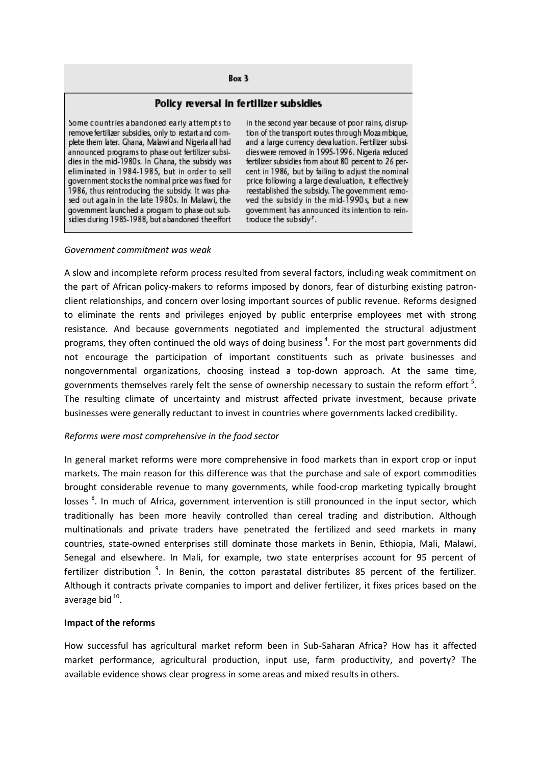#### $Box$  3

#### Policy reversal in fertilizer subsidies

Some countries abandoned early attempts to remove fertilizer subsidies, only to restart and complete them later. Ghana, Malawi and Nigeria all had announced programs to phase out fertilizer subsidies in the mid-1980s. In Ghana, the subsidy was eliminated in 1984-1985, but in order to sell government stocks the nominal price was fixed for 1986, thus reintroducing the subsidy. It was phased out again in the late 1980s. In Malawi, the govemment launched a program to phase out subsidies during 1985-1988, but a bandoned the effort

in the second year because of poor rains, disruption of the transport routes through Mozambique, and a large currency devaluation. Fertilizer subsidies were removed in 1995-1996. Nigeria reduced fertilizer subsidies from about 80 percent to 26 percent in 1986, but by failing to adjust the nominal price following a large devaluation, it effectively reestablished the subsidy. The government remo-<br>ved the subsidy in the mid-1990s, but a new government has announced its intention to reintroduce the subsidy'.

#### *Government commitment was weak*

A slow and incomplete reform process resulted from several factors, including weak commitment on the part of African policy-makers to reforms imposed by donors, fear of disturbing existing patronclient relationships, and concern over losing important sources of public revenue. Reforms designed to eliminate the rents and privileges enjoyed by public enterprise employees met with strong resistance. And because governments negotiated and implemented the structural adjustment programs, they often continued the old ways of doing business<sup>4</sup>. For the most part governments did not encourage the participation of important constituents such as private businesses and nongovernmental organizations, choosing instead a top-down approach. At the same time, governments themselves rarely felt the sense of ownership necessary to sustain the reform effort  $5$ . The resulting climate of uncertainty and mistrust affected private investment, because private businesses were generally reductant to invest in countries where governments lacked credibility.

#### *Reforms were most comprehensive in the food sector*

In general market reforms were more comprehensive in food markets than in export crop or input markets. The main reason for this difference was that the purchase and sale of export commodities brought considerable revenue to many governments, while food-crop marketing typically brought losses<sup>8</sup>. In much of Africa, government intervention is still pronounced in the input sector, which traditionally has been more heavily controlled than cereal trading and distribution. Although multinationals and private traders have penetrated the fertilized and seed markets in many countries, state-owned enterprises still dominate those markets in Benin, Ethiopia, Mali, Malawi, Senegal and elsewhere. In Mali, for example, two state enterprises account for 95 percent of fertilizer distribution <sup>9</sup>. In Benin, the cotton parastatal distributes 85 percent of the fertilizer. Although it contracts private companies to import and deliver fertilizer, it fixes prices based on the average bid <sup>10</sup>.

### **Impact of the reforms**

How successful has agricultural market reform been in Sub-Saharan Africa? How has it affected market performance, agricultural production, input use, farm productivity, and poverty? The available evidence shows clear progress in some areas and mixed results in others.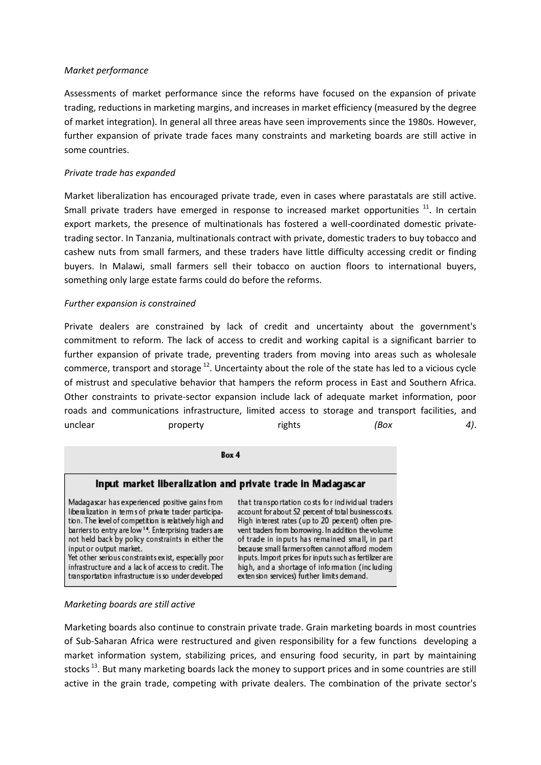### *Market performance*

Assessments of market performance since the reforms have focused on the expansion of private trading, reductions in marketing margins, and increases in market efficiency (measured by the degree of market integration). In general all three areas have seen improvements since the 1980s. However, further expansion of private trade faces many constraints and marketing boards are still active in some countries.

### *Private trade has expanded*

Market liberalization has encouraged private trade, even in cases where parastatals are still active. Small private traders have emerged in response to increased market opportunities  $11$ . In certain export markets, the presence of multinationals has fostered a well-coordinated domestic privatetrading sector. In Tanzania, multinationals contract with private, domestic traders to buy tobacco and cashew nuts from small farmers, and these traders have little difficulty accessing credit or finding buyers. In Malawi, small farmers sell their tobacco on auction floors to international buyers, something only large estate farms could do before the reforms.

### *Further expansion is constrained*

Private dealers are constrained by lack of credit and uncertainty about the government's commitment to reform. The lack of access to credit and working capital is a significant barrier to further expansion of private trade, preventing traders from moving into areas such as wholesale commerce, transport and storage <sup>12</sup>. Uncertainty about the role of the state has led to a vicious cycle of mistrust and speculative behavior that hampers the reform process in East and Southern Africa. Other constraints to private-sector expansion include lack of adequate market information, poor roads and communications infrastructure, limited access to storage and transport facilities, and unclear **property** rights  $(Box \t 4)$ .

 $Box A$ 

### Input market liberalization and private trade in Madagascar

Madagascar has experienced positive gains from liberalization in terms of private trader participation. The level of competition is relatively high and barriers to entry are low<sup>14</sup>. Enterprising traders are not held back by policy constraints in either the input or output market.

Yet other serious constraints exist, especially poor infrastructure and a lack of access to credit. The transportation infrastructure is so under developed

that transportation costs for individual traders account for about 52 percent of total business costs. High interest rates (up to 20 percent) often prevent traders from borrowing. In addition the volume of trade in inputs has remained small, in part because small farmers often cannot afford modem inputs. Import prices for inputs such as fertilizer are high, and a shortage of information (including extension services) further limits demand.

#### *Marketing boards are still active*

Marketing boards also continue to constrain private trade. Grain marketing boards in most countries of Sub-Saharan Africa were restructured and given responsibility for a few functions developing a market information system, stabilizing prices, and ensuring food security, in part by maintaining stocks<sup>13</sup>. But many marketing boards lack the money to support prices and in some countries are still active in the grain trade, competing with private dealers. The combination of the private sector's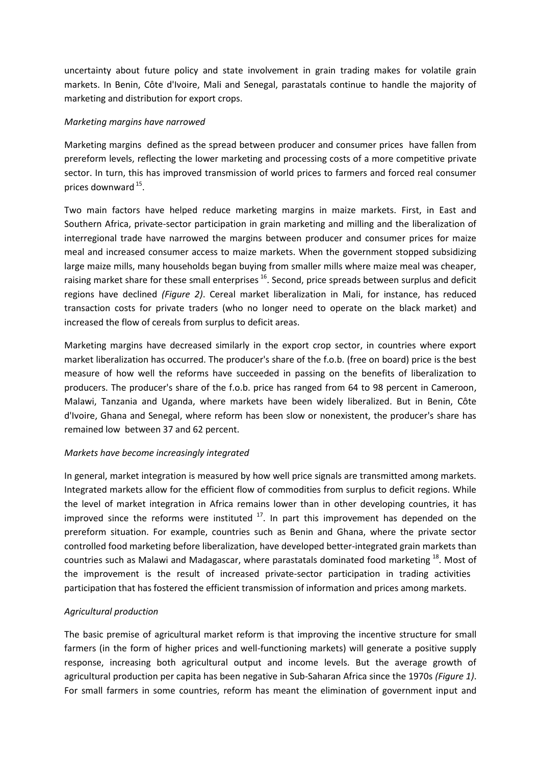uncertainty about future policy and state involvement in grain trading makes for volatile grain markets. In Benin, Côte d'Ivoire, Mali and Senegal, parastatals continue to handle the majority of marketing and distribution for export crops.

### *Marketing margins have narrowed*

Marketing margins defined as the spread between producer and consumer prices have fallen from prereform levels, reflecting the lower marketing and processing costs of a more competitive private sector. In turn, this has improved transmission of world prices to farmers and forced real consumer prices downward <sup>15</sup>.

Two main factors have helped reduce marketing margins in maize markets. First, in East and Southern Africa, private-sector participation in grain marketing and milling and the liberalization of interregional trade have narrowed the margins between producer and consumer prices for maize meal and increased consumer access to maize markets. When the government stopped subsidizing large maize mills, many households began buying from smaller mills where maize meal was cheaper, raising market share for these small enterprises<sup>16</sup>. Second, price spreads between surplus and deficit regions have declined *(Figure 2)*. Cereal market liberalization in Mali, for instance, has reduced transaction costs for private traders (who no longer need to operate on the black market) and increased the flow of cereals from surplus to deficit areas.

Marketing margins have decreased similarly in the export crop sector, in countries where export market liberalization has occurred. The producer's share of the f.o.b. (free on board) price is the best measure of how well the reforms have succeeded in passing on the benefits of liberalization to producers. The producer's share of the f.o.b. price has ranged from 64 to 98 percent in Cameroon, Malawi, Tanzania and Uganda, where markets have been widely liberalized. But in Benin, Côte d'Ivoire, Ghana and Senegal, where reform has been slow or nonexistent, the producer's share has remained low between 37 and 62 percent.

# *Markets have become increasingly integrated*

In general, market integration is measured by how well price signals are transmitted among markets. Integrated markets allow for the efficient flow of commodities from surplus to deficit regions. While the level of market integration in Africa remains lower than in other developing countries, it has improved since the reforms were instituted  $17$ . In part this improvement has depended on the prereform situation. For example, countries such as Benin and Ghana, where the private sector controlled food marketing before liberalization, have developed better-integrated grain markets than countries such as Malawi and Madagascar, where parastatals dominated food marketing <sup>18</sup>. Most of the improvement is the result of increased private-sector participation in trading activities participation that has fostered the efficient transmission of information and prices among markets.

# *Agricultural production*

The basic premise of agricultural market reform is that improving the incentive structure for small farmers (in the form of higher prices and well-functioning markets) will generate a positive supply response, increasing both agricultural output and income levels. But the average growth of agricultural production per capita has been negative in Sub-Saharan Africa since the 1970s *(Figure 1)*. For small farmers in some countries, reform has meant the elimination of government input and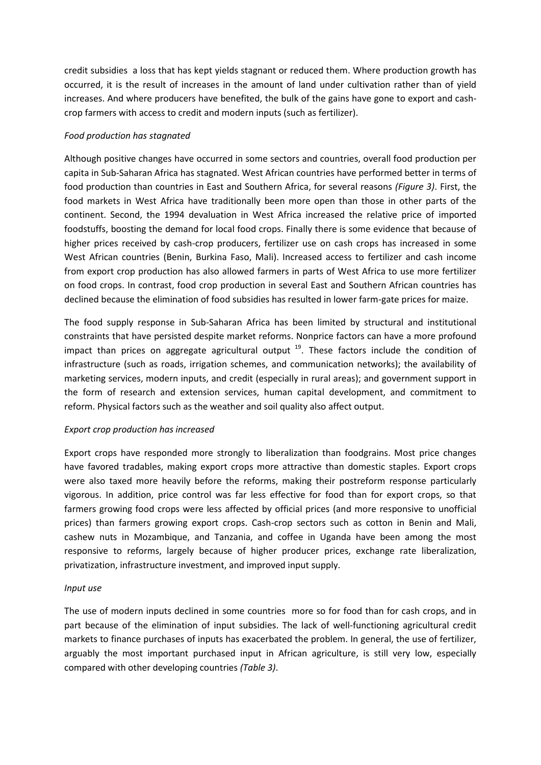credit subsidies a loss that has kept yields stagnant or reduced them. Where production growth has occurred, it is the result of increases in the amount of land under cultivation rather than of yield increases. And where producers have benefited, the bulk of the gains have gone to export and cashcrop farmers with access to credit and modern inputs (such as fertilizer).

### *Food production has stagnated*

Although positive changes have occurred in some sectors and countries, overall food production per capita in Sub-Saharan Africa has stagnated. West African countries have performed better in terms of food production than countries in East and Southern Africa, for several reasons *(Figure 3)*. First, the food markets in West Africa have traditionally been more open than those in other parts of the continent. Second, the 1994 devaluation in West Africa increased the relative price of imported foodstuffs, boosting the demand for local food crops. Finally there is some evidence that because of higher prices received by cash-crop producers, fertilizer use on cash crops has increased in some West African countries (Benin, Burkina Faso, Mali). Increased access to fertilizer and cash income from export crop production has also allowed farmers in parts of West Africa to use more fertilizer on food crops. In contrast, food crop production in several East and Southern African countries has declined because the elimination of food subsidies has resulted in lower farm-gate prices for maize.

The food supply response in Sub-Saharan Africa has been limited by structural and institutional constraints that have persisted despite market reforms. Nonprice factors can have a more profound impact than prices on aggregate agricultural output  $19$ . These factors include the condition of infrastructure (such as roads, irrigation schemes, and communication networks); the availability of marketing services, modern inputs, and credit (especially in rural areas); and government support in the form of research and extension services, human capital development, and commitment to reform. Physical factors such as the weather and soil quality also affect output.

# *Export crop production has increased*

Export crops have responded more strongly to liberalization than foodgrains. Most price changes have favored tradables, making export crops more attractive than domestic staples. Export crops were also taxed more heavily before the reforms, making their postreform response particularly vigorous. In addition, price control was far less effective for food than for export crops, so that farmers growing food crops were less affected by official prices (and more responsive to unofficial prices) than farmers growing export crops. Cash-crop sectors such as cotton in Benin and Mali, cashew nuts in Mozambique, and Tanzania, and coffee in Uganda have been among the most responsive to reforms, largely because of higher producer prices, exchange rate liberalization, privatization, infrastructure investment, and improved input supply.

### *Input use*

The use of modern inputs declined in some countries more so for food than for cash crops, and in part because of the elimination of input subsidies. The lack of well-functioning agricultural credit markets to finance purchases of inputs has exacerbated the problem. In general, the use of fertilizer, arguably the most important purchased input in African agriculture, is still very low, especially compared with other developing countries *(Table 3)*.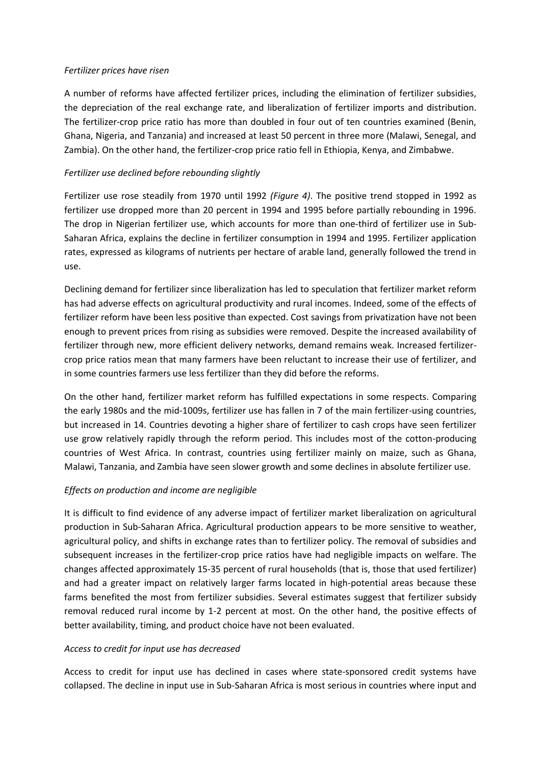### *Fertilizer prices have risen*

A number of reforms have affected fertilizer prices, including the elimination of fertilizer subsidies, the depreciation of the real exchange rate, and liberalization of fertilizer imports and distribution. The fertilizer-crop price ratio has more than doubled in four out of ten countries examined (Benin, Ghana, Nigeria, and Tanzania) and increased at least 50 percent in three more (Malawi, Senegal, and Zambia). On the other hand, the fertilizer-crop price ratio fell in Ethiopia, Kenya, and Zimbabwe.

# *Fertilizer use declined before rebounding slightly*

Fertilizer use rose steadily from 1970 until 1992 *(Figure 4)*. The positive trend stopped in 1992 as fertilizer use dropped more than 20 percent in 1994 and 1995 before partially rebounding in 1996. The drop in Nigerian fertilizer use, which accounts for more than one-third of fertilizer use in Sub-Saharan Africa, explains the decline in fertilizer consumption in 1994 and 1995. Fertilizer application rates, expressed as kilograms of nutrients per hectare of arable land, generally followed the trend in use.

Declining demand for fertilizer since liberalization has led to speculation that fertilizer market reform has had adverse effects on agricultural productivity and rural incomes. Indeed, some of the effects of fertilizer reform have been less positive than expected. Cost savings from privatization have not been enough to prevent prices from rising as subsidies were removed. Despite the increased availability of fertilizer through new, more efficient delivery networks, demand remains weak. Increased fertilizercrop price ratios mean that many farmers have been reluctant to increase their use of fertilizer, and in some countries farmers use less fertilizer than they did before the reforms.

On the other hand, fertilizer market reform has fulfilled expectations in some respects. Comparing the early 1980s and the mid-1009s, fertilizer use has fallen in 7 of the main fertilizer-using countries, but increased in 14. Countries devoting a higher share of fertilizer to cash crops have seen fertilizer use grow relatively rapidly through the reform period. This includes most of the cotton-producing countries of West Africa. In contrast, countries using fertilizer mainly on maize, such as Ghana, Malawi, Tanzania, and Zambia have seen slower growth and some declines in absolute fertilizer use.

# *Effects on production and income are negligible*

It is difficult to find evidence of any adverse impact of fertilizer market liberalization on agricultural production in Sub-Saharan Africa. Agricultural production appears to be more sensitive to weather, agricultural policy, and shifts in exchange rates than to fertilizer policy. The removal of subsidies and subsequent increases in the fertilizer-crop price ratios have had negligible impacts on welfare. The changes affected approximately 15-35 percent of rural households (that is, those that used fertilizer) and had a greater impact on relatively larger farms located in high-potential areas because these farms benefited the most from fertilizer subsidies. Several estimates suggest that fertilizer subsidy removal reduced rural income by 1-2 percent at most. On the other hand, the positive effects of better availability, timing, and product choice have not been evaluated.

# *Access to credit for input use has decreased*

Access to credit for input use has declined in cases where state-sponsored credit systems have collapsed. The decline in input use in Sub-Saharan Africa is most serious in countries where input and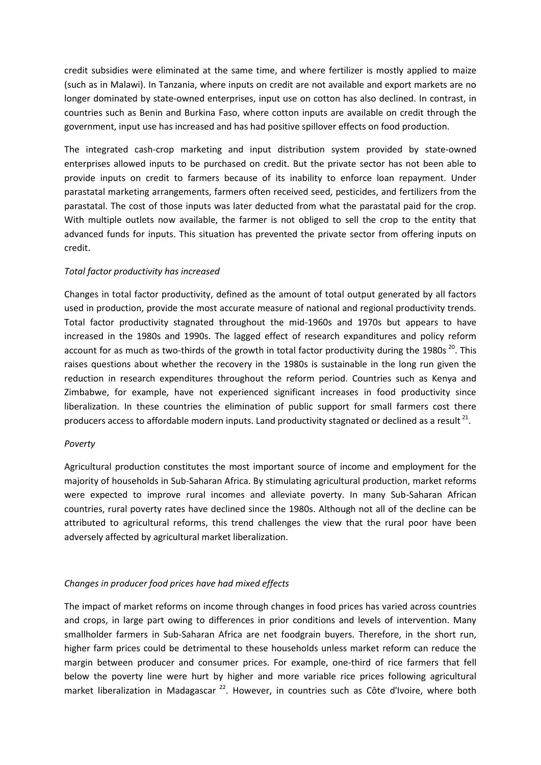credit subsidies were eliminated at the same time, and where fertilizer is mostly applied to maize (such as in Malawi). In Tanzania, where inputs on credit are not available and export markets are no longer dominated by state-owned enterprises, input use on cotton has also declined. In contrast, in countries such as Benin and Burkina Faso, where cotton inputs are available on credit through the government, input use has increased and has had positive spillover effects on food production.

The integrated cash-crop marketing and input distribution system provided by state-owned enterprises allowed inputs to be purchased on credit. But the private sector has not been able to provide inputs on credit to farmers because of its inability to enforce loan repayment. Under parastatal marketing arrangements, farmers often received seed, pesticides, and fertilizers from the parastatal. The cost of those inputs was later deducted from what the parastatal paid for the crop. With multiple outlets now available, the farmer is not obliged to sell the crop to the entity that advanced funds for inputs. This situation has prevented the private sector from offering inputs on credit.

# *Total factor productivity has increased*

Changes in total factor productivity, defined as the amount of total output generated by all factors used in production, provide the most accurate measure of national and regional productivity trends. Total factor productivity stagnated throughout the mid-1960s and 1970s but appears to have increased in the 1980s and 1990s. The lagged effect of research expanditures and policy reform account for as much as two-thirds of the growth in total factor productivity during the 1980s<sup>20</sup>. This raises questions about whether the recovery in the 1980s is sustainable in the long run given the reduction in research expenditures throughout the reform period. Countries such as Kenya and Zimbabwe, for example, have not experienced significant increases in food productivity since liberalization. In these countries the elimination of public support for small farmers cost there producers access to affordable modern inputs. Land productivity stagnated or declined as a result  $^{21}$ .

### *Poverty*

Agricultural production constitutes the most important source of income and employment for the majority of households in Sub-Saharan Africa. By stimulating agricultural production, market reforms were expected to improve rural incomes and alleviate poverty. In many Sub-Saharan African countries, rural poverty rates have declined since the 1980s. Although not all of the decline can be attributed to agricultural reforms, this trend challenges the view that the rural poor have been adversely affected by agricultural market liberalization.

# *Changes in producer food prices have had mixed effects*

The impact of market reforms on income through changes in food prices has varied across countries and crops, in large part owing to differences in prior conditions and levels of intervention. Many smallholder farmers in Sub-Saharan Africa are net foodgrain buyers. Therefore, in the short run, higher farm prices could be detrimental to these households unless market reform can reduce the margin between producer and consumer prices. For example, one-third of rice farmers that fell below the poverty line were hurt by higher and more variable rice prices following agricultural market liberalization in Madagascar<sup>22</sup>. However, in countries such as Côte d'Ivoire, where both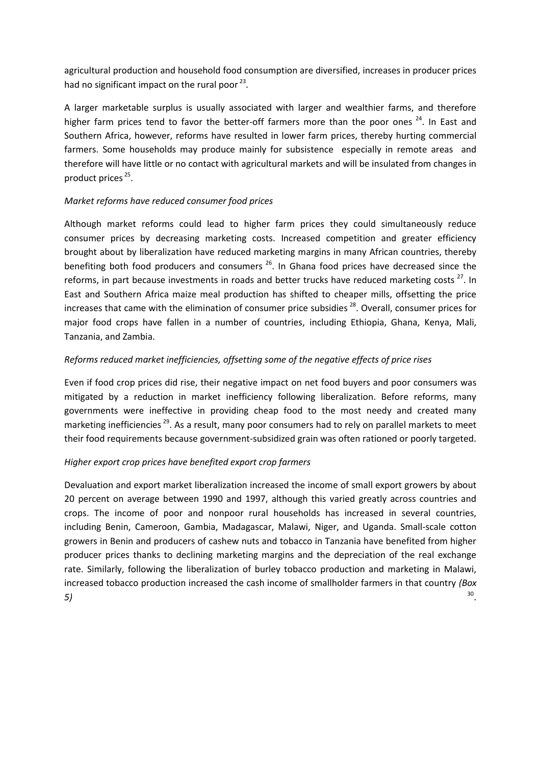agricultural production and household food consumption are diversified, increases in producer prices had no significant impact on the rural poor  $23$ .

A larger marketable surplus is usually associated with larger and wealthier farms, and therefore higher farm prices tend to favor the better-off farmers more than the poor ones  $^{24}$ . In East and Southern Africa, however, reforms have resulted in lower farm prices, thereby hurting commercial farmers. Some households may produce mainly for subsistence especially in remote areas and therefore will have little or no contact with agricultural markets and will be insulated from changes in product prices<sup>25</sup>.

# *Market reforms have reduced consumer food prices*

Although market reforms could lead to higher farm prices they could simultaneously reduce consumer prices by decreasing marketing costs. Increased competition and greater efficiency brought about by liberalization have reduced marketing margins in many African countries, thereby benefiting both food producers and consumers  $^{26}$ . In Ghana food prices have decreased since the reforms, in part because investments in roads and better trucks have reduced marketing costs  $^{27}$ . In East and Southern Africa maize meal production has shifted to cheaper mills, offsetting the price increases that came with the elimination of consumer price subsidies  $^{28}$ . Overall, consumer prices for major food crops have fallen in a number of countries, including Ethiopia, Ghana, Kenya, Mali, Tanzania, and Zambia.

# *Reforms reduced market inefficiencies, offsetting some of the negative effects of price rises*

Even if food crop prices did rise, their negative impact on net food buyers and poor consumers was mitigated by a reduction in market inefficiency following liberalization. Before reforms, many governments were ineffective in providing cheap food to the most needy and created many marketing inefficiencies<sup>29</sup>. As a result, many poor consumers had to rely on parallel markets to meet their food requirements because government-subsidized grain was often rationed or poorly targeted.

# *Higher export crop prices have benefited export crop farmers*

Devaluation and export market liberalization increased the income of small export growers by about 20 percent on average between 1990 and 1997, although this varied greatly across countries and crops. The income of poor and nonpoor rural households has increased in several countries, including Benin, Cameroon, Gambia, Madagascar, Malawi, Niger, and Uganda. Small-scale cotton growers in Benin and producers of cashew nuts and tobacco in Tanzania have benefited from higher producer prices thanks to declining marketing margins and the depreciation of the real exchange rate. Similarly, following the liberalization of burley tobacco production and marketing in Malawi, increased tobacco production increased the cash income of smallholder farmers in that country *(Box 5)* <sup>30</sup> .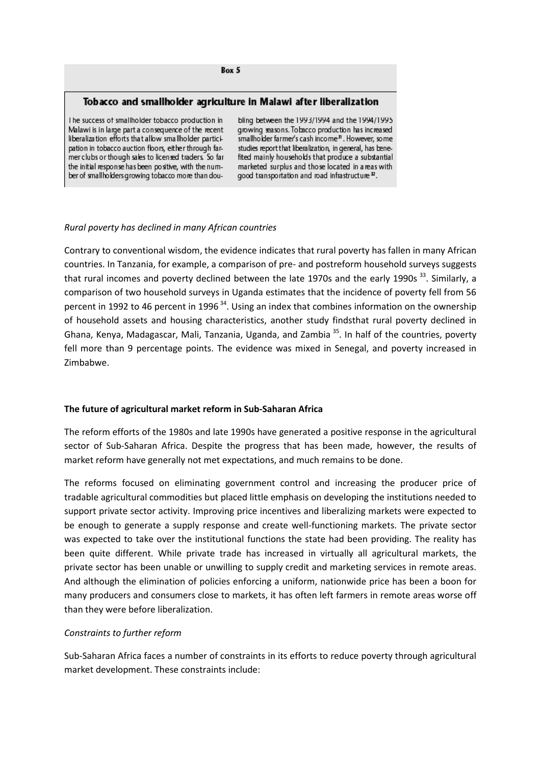### Tobacco and smallholder agriculture in Malawi after liberalization

The success of smallholder tobacco production in Malawi is in large part a consequence of the recent liberalization efforts that allow smallholder participation in tobacco auction floors, either through farmer clubs or though sales to licensed traders. So far the initial response has been positive, with the number of small holders growing tobacco more than dou-

bling between the 1993/1994 and the 1994/1995 growing seasons. Tobacco production has increased smallholder farmer's cash income<sup>31</sup>. However, some studies report that liberalization, in general, has benefited mainly households that produce a substantial marketed surplus and those located in areas with good transportation and road infrastructure<sup>32</sup>.

### *Rural poverty has declined in many African countries*

Contrary to conventional wisdom, the evidence indicates that rural poverty has fallen in many African countries. In Tanzania, for example, a comparison of pre- and postreform household surveys suggests that rural incomes and poverty declined between the late 1970s and the early 1990s  $^{33}$ . Similarly, a comparison of two household surveys in Uganda estimates that the incidence of poverty fell from 56 percent in 1992 to 46 percent in 1996<sup>34</sup>. Using an index that combines information on the ownership of household assets and housing characteristics, another study findsthat rural poverty declined in Ghana, Kenya, Madagascar, Mali, Tanzania, Uganda, and Zambia <sup>35</sup>. In half of the countries, poverty fell more than 9 percentage points. The evidence was mixed in Senegal, and poverty increased in Zimbabwe.

### **The future of agricultural market reform in Sub-Saharan Africa**

The reform efforts of the 1980s and late 1990s have generated a positive response in the agricultural sector of Sub-Saharan Africa. Despite the progress that has been made, however, the results of market reform have generally not met expectations, and much remains to be done.

The reforms focused on eliminating government control and increasing the producer price of tradable agricultural commodities but placed little emphasis on developing the institutions needed to support private sector activity. Improving price incentives and liberalizing markets were expected to be enough to generate a supply response and create well-functioning markets. The private sector was expected to take over the institutional functions the state had been providing. The reality has been quite different. While private trade has increased in virtually all agricultural markets, the private sector has been unable or unwilling to supply credit and marketing services in remote areas. And although the elimination of policies enforcing a uniform, nationwide price has been a boon for many producers and consumers close to markets, it has often left farmers in remote areas worse off than they were before liberalization.

### *Constraints to further reform*

Sub-Saharan Africa faces a number of constraints in its efforts to reduce poverty through agricultural market development. These constraints include: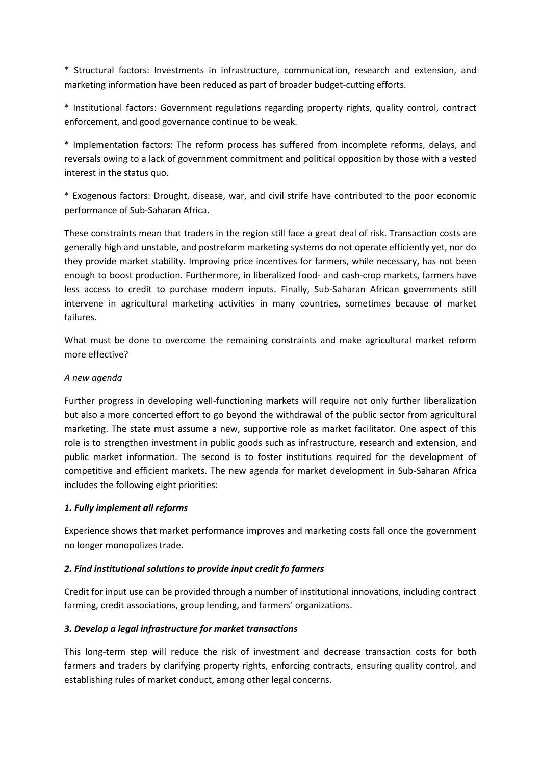\* Structural factors: Investments in infrastructure, communication, research and extension, and marketing information have been reduced as part of broader budget-cutting efforts.

\* Institutional factors: Government regulations regarding property rights, quality control, contract enforcement, and good governance continue to be weak.

\* Implementation factors: The reform process has suffered from incomplete reforms, delays, and reversals owing to a lack of government commitment and political opposition by those with a vested interest in the status quo.

\* Exogenous factors: Drought, disease, war, and civil strife have contributed to the poor economic performance of Sub-Saharan Africa.

These constraints mean that traders in the region still face a great deal of risk. Transaction costs are generally high and unstable, and postreform marketing systems do not operate efficiently yet, nor do they provide market stability. Improving price incentives for farmers, while necessary, has not been enough to boost production. Furthermore, in liberalized food- and cash-crop markets, farmers have less access to credit to purchase modern inputs. Finally, Sub-Saharan African governments still intervene in agricultural marketing activities in many countries, sometimes because of market failures.

What must be done to overcome the remaining constraints and make agricultural market reform more effective?

# *A new agenda*

Further progress in developing well-functioning markets will require not only further liberalization but also a more concerted effort to go beyond the withdrawal of the public sector from agricultural marketing. The state must assume a new, supportive role as market facilitator. One aspect of this role is to strengthen investment in public goods such as infrastructure, research and extension, and public market information. The second is to foster institutions required for the development of competitive and efficient markets. The new agenda for market development in Sub-Saharan Africa includes the following eight priorities:

# *1. Fully implement all reforms*

Experience shows that market performance improves and marketing costs fall once the government no longer monopolizes trade.

# *2. Find institutional solutions to provide input credit fo farmers*

Credit for input use can be provided through a number of institutional innovations, including contract farming, credit associations, group lending, and farmers' organizations.

# *3. Develop a legal infrastructure for market transactions*

This long-term step will reduce the risk of investment and decrease transaction costs for both farmers and traders by clarifying property rights, enforcing contracts, ensuring quality control, and establishing rules of market conduct, among other legal concerns.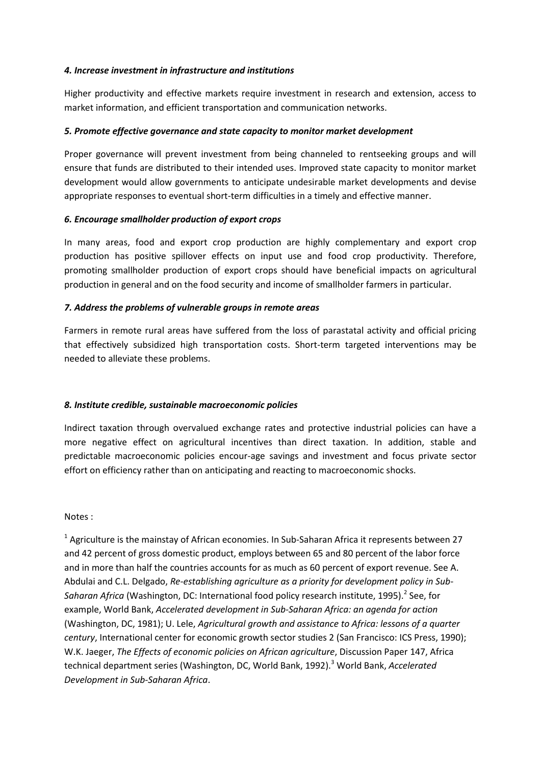### *4. Increase investment in infrastructure and institutions*

Higher productivity and effective markets require investment in research and extension, access to market information, and efficient transportation and communication networks.

### *5. Promote effective governance and state capacity to monitor market development*

Proper governance will prevent investment from being channeled to rentseeking groups and will ensure that funds are distributed to their intended uses. Improved state capacity to monitor market development would allow governments to anticipate undesirable market developments and devise appropriate responses to eventual short-term difficulties in a timely and effective manner.

### *6. Encourage smallholder production of export crops*

In many areas, food and export crop production are highly complementary and export crop production has positive spillover effects on input use and food crop productivity. Therefore, promoting smallholder production of export crops should have beneficial impacts on agricultural production in general and on the food security and income of smallholder farmers in particular.

### *7. Address the problems of vulnerable groups in remote areas*

Farmers in remote rural areas have suffered from the loss of parastatal activity and official pricing that effectively subsidized high transportation costs. Short-term targeted interventions may be needed to alleviate these problems.

### *8. Institute credible, sustainable macroeconomic policies*

Indirect taxation through overvalued exchange rates and protective industrial policies can have a more negative effect on agricultural incentives than direct taxation. In addition, stable and predictable macroeconomic policies encour-age savings and investment and focus private sector effort on efficiency rather than on anticipating and reacting to macroeconomic shocks.

### Notes :

 $<sup>1</sup>$  Agriculture is the mainstay of African economies. In Sub-Saharan Africa it represents between 27</sup> and 42 percent of gross domestic product, employs between 65 and 80 percent of the labor force and in more than half the countries accounts for as much as 60 percent of export revenue. See A. Abdulai and C.L. Delgado, *Re-establishing agriculture as a priority for development policy in Sub-*Saharan Africa (Washington, DC: International food policy research institute, 1995).<sup>2</sup> See, for example, World Bank, *Accelerated development in Sub-Saharan Africa: an agenda for action*  (Washington, DC, 1981); U. Lele, *Agricultural growth and assistance to Africa: lessons of a quarter century*, International center for economic growth sector studies 2 (San Francisco: ICS Press, 1990); W.K. Jaeger, *The Effects of economic policies on African agriculture*, Discussion Paper 147, Africa technical department series (Washington, DC, World Bank, 1992).<sup>3</sup> World Bank, *Accelerated Development in Sub-Saharan Africa*.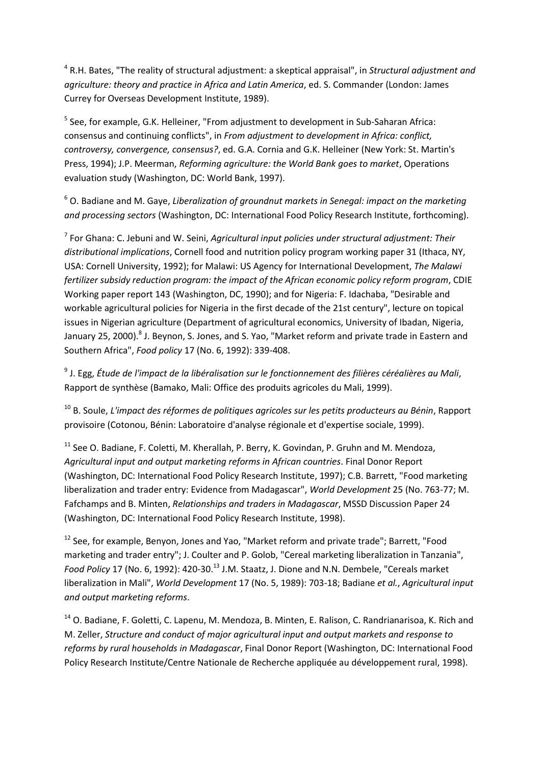4 R.H. Bates, "The reality of structural adjustment: a skeptical appraisal", in *Structural adjustment and agriculture: theory and practice in Africa and Latin America*, ed. S. Commander (London: James Currey for Overseas Development Institute, 1989).

<sup>5</sup> See, for example, G.K. Helleiner, "From adjustment to development in Sub-Saharan Africa: consensus and continuing conflicts", in *From adjustment to development in Africa: conflict, controversy, convergence, consensus?*, ed. G.A. Cornia and G.K. Helleiner (New York: St. Martin's Press, 1994); J.P. Meerman, *Reforming agriculture: the World Bank goes to market*, Operations evaluation study (Washington, DC: World Bank, 1997).

<sup>6</sup> O. Badiane and M. Gaye, *Liberalization of groundnut markets in Senegal: impact on the marketing and processing sectors* (Washington, DC: International Food Policy Research Institute, forthcoming).

7 For Ghana: C. Jebuni and W. Seini, *Agricultural input policies under structural adjustment: Their distributional implications*, Cornell food and nutrition policy program working paper 31 (Ithaca, NY, USA: Cornell University, 1992); for Malawi: US Agency for International Development, *The Malawi fertilizer subsidy reduction program: the impact of the African economic policy reform program*, CDIE Working paper report 143 (Washington, DC, 1990); and for Nigeria: F. Idachaba, "Desirable and workable agricultural policies for Nigeria in the first decade of the 21st century", lecture on topical issues in Nigerian agriculture (Department of agricultural economics, University of Ibadan, Nigeria, January 25, 2000).<sup>8</sup> J. Beynon, S. Jones, and S. Yao, "Market reform and private trade in Eastern and Southern Africa", *Food policy* 17 (No. 6, 1992): 339-408.

9 J. Egg, *Étude de l'impact de la libéralisation sur le fonctionnement des filières céréalières au Mali*, Rapport de synthèse (Bamako, Mali: Office des produits agricoles du Mali, 1999).

<sup>10</sup> B. Soule, *L'impact des réformes de politiques agricoles sur les petits producteurs au Bénin*, Rapport provisoire (Cotonou, Bénin: Laboratoire d'analyse régionale et d'expertise sociale, 1999).

 $11$  See O. Badiane, F. Coletti, M. Kherallah, P. Berry, K. Govindan, P. Gruhn and M. Mendoza, *Agricultural input and output marketing reforms in African countries*. Final Donor Report (Washington, DC: International Food Policy Research Institute, 1997); C.B. Barrett, "Food marketing liberalization and trader entry: Evidence from Madagascar", *World Development* 25 (No. 763-77; M. Fafchamps and B. Minten, *Relationships and traders in Madagascar*, MSSD Discussion Paper 24 (Washington, DC: International Food Policy Research Institute, 1998).

<sup>12</sup> See, for example, Benyon, Jones and Yao, "Market reform and private trade"; Barrett, "Food marketing and trader entry"; J. Coulter and P. Golob, "Cereal marketing liberalization in Tanzania", *Food Policy* 17 (No. 6, 1992): 420-30.<sup>13</sup> J.M. Staatz, J. Dione and N.N. Dembele, "Cereals market liberalization in Mali", *World Development* 17 (No. 5, 1989): 703-18; Badiane *et al.*, *Agricultural input and output marketing reforms*.

<sup>14</sup> O. Badiane, F. Goletti, C. Lapenu, M. Mendoza, B. Minten, E. Ralison, C. Randrianarisoa, K. Rich and M. Zeller, *Structure and conduct of major agricultural input and output markets and response to reforms by rural households in Madagascar*, Final Donor Report (Washington, DC: International Food Policy Research Institute/Centre Nationale de Recherche appliquée au développement rural, 1998).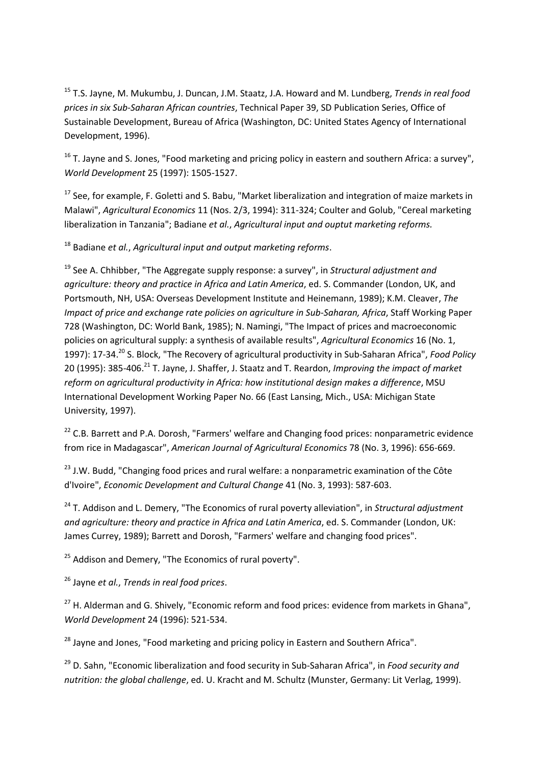<sup>15</sup> T.S. Jayne, M. Mukumbu, J. Duncan, J.M. Staatz, J.A. Howard and M. Lundberg, *Trends in real food prices in six Sub-Saharan African countries*, Technical Paper 39, SD Publication Series, Office of Sustainable Development, Bureau of Africa (Washington, DC: United States Agency of International Development, 1996).

 $16$  T. Jayne and S. Jones, "Food marketing and pricing policy in eastern and southern Africa: a survey", *World Development* 25 (1997): 1505-1527.

 $17$  See, for example, F. Goletti and S. Babu, "Market liberalization and integration of maize markets in Malawi", *Agricultural Economics* 11 (Nos. 2/3, 1994): 311-324; Coulter and Golub, "Cereal marketing liberalization in Tanzania"; Badiane *et al.*, *Agricultural input and ouptut marketing reforms.*

<sup>18</sup> Badiane *et al.*, *Agricultural input and output marketing reforms*.

<sup>19</sup> See A. Chhibber, "The Aggregate supply response: a survey", in *Structural adjustment and agriculture: theory and practice in Africa and Latin America*, ed. S. Commander (London, UK, and Portsmouth, NH, USA: Overseas Development Institute and Heinemann, 1989); K.M. Cleaver, *The Impact of price and exchange rate policies on agriculture in Sub-Saharan, Africa*, Staff Working Paper 728 (Washington, DC: World Bank, 1985); N. Namingi, "The Impact of prices and macroeconomic policies on agricultural supply: a synthesis of available results", *Agricultural Economics* 16 (No. 1, 1997): 17-34.<sup>20</sup> S. Block, "The Recovery of agricultural productivity in Sub-Saharan Africa", *Food Policy* 20 (1995): 385-406.<sup>21</sup> T. Jayne, J. Shaffer, J. Staatz and T. Reardon, *Improving the impact of market reform on agricultural productivity in Africa: how institutional design makes a difference*, MSU International Development Working Paper No. 66 (East Lansing, Mich., USA: Michigan State University, 1997).

<sup>22</sup> C.B. Barrett and P.A. Dorosh, "Farmers' welfare and Changing food prices: nonparametric evidence from rice in Madagascar", *American Journal of Agricultural Economics* 78 (No. 3, 1996): 656-669.

 $23$  J.W. Budd, "Changing food prices and rural welfare: a nonparametric examination of the Côte d'Ivoire", *Economic Development and Cultural Change* 41 (No. 3, 1993): 587-603.

<sup>24</sup> T. Addison and L. Demery, "The Economics of rural poverty alleviation", in *Structural adjustment and agriculture: theory and practice in Africa and Latin America*, ed. S. Commander (London, UK: James Currey, 1989); Barrett and Dorosh, "Farmers' welfare and changing food prices".

 $25$  Addison and Demery, "The Economics of rural poverty".

<sup>26</sup> Jayne *et al.*, *Trends in real food prices*.

<sup>27</sup> H. Alderman and G. Shively, "Economic reform and food prices: evidence from markets in Ghana", *World Development* 24 (1996): 521-534.

<sup>28</sup> Jayne and Jones. "Food marketing and pricing policy in Eastern and Southern Africa".

<sup>29</sup> D. Sahn, "Economic liberalization and food security in Sub-Saharan Africa", in *Food security and nutrition: the global challenge*, ed. U. Kracht and M. Schultz (Munster, Germany: Lit Verlag, 1999).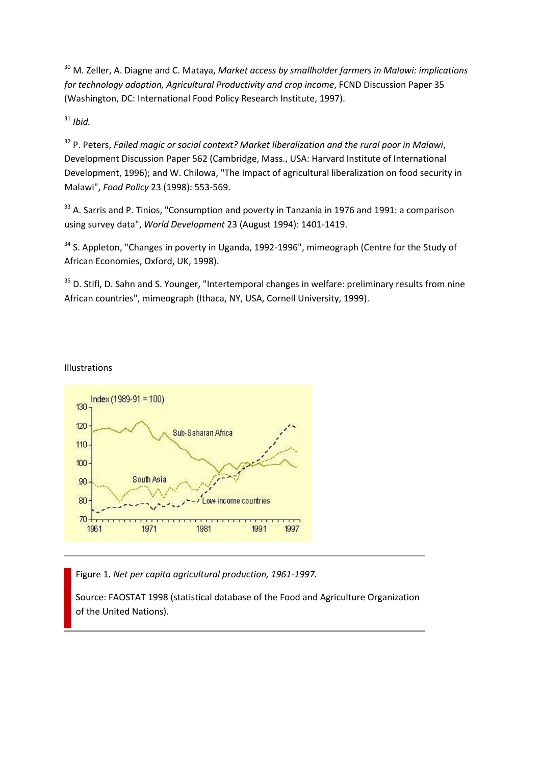<sup>30</sup> M. Zeller, A. Diagne and C. Mataya, *Market access by smallholder farmers in Malawi: implications for technology adoption, Agricultural Productivity and crop income*, FCND Discussion Paper 35 (Washington, DC: International Food Policy Research Institute, 1997).

<sup>31</sup> *Ibid.*

<sup>32</sup> P. Peters, *Failed magic or social context? Market liberalization and the rural poor in Malawi*, Development Discussion Paper 562 (Cambridge, Mass., USA: Harvard Institute of International Development, 1996); and W. Chilowa, "The Impact of agricultural liberalization on food security in Malawi", *Food Policy* 23 (1998): 553-569.

 $33$  A. Sarris and P. Tinios, "Consumption and poverty in Tanzania in 1976 and 1991: a comparison using survey data", *World Development* 23 (August 1994): 1401-1419.

<sup>34</sup> S. Appleton, "Changes in poverty in Uganda, 1992-1996", mimeograph (Centre for the Study of African Economies, Oxford, UK, 1998).

<sup>35</sup> D. Stifl, D. Sahn and S. Younger, "Intertemporal changes in welfare: preliminary results from nine African countries", mimeograph (Ithaca, NY, USA, Cornell University, 1999).

### Illustrations



Figure 1. *Net per capita agricultural production, 1961-1997.*

Source: FAOSTAT 1998 (statistical database of the Food and Agriculture Organization of the United Nations).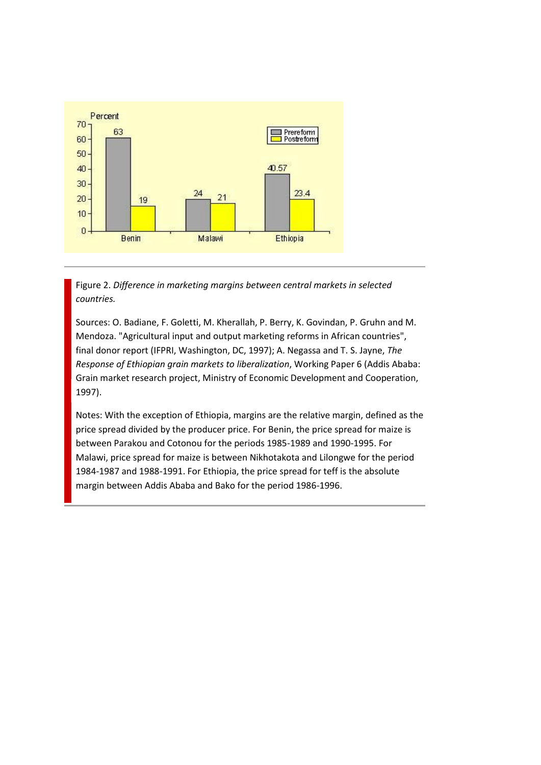

Figure 2. *Difference in marketing margins between central markets in selected countries.*

Sources: O. Badiane, F. Goletti, M. Kherallah, P. Berry, K. Govindan, P. Gruhn and M. Mendoza. "Agricultural input and output marketing reforms in African countries", final donor report (IFPRI, Washington, DC, 1997); A. Negassa and T. S. Jayne, *The Response of Ethiopian grain markets to liberalization*, Working Paper 6 (Addis Ababa: Grain market research project, Ministry of Economic Development and Cooperation, 1997).

Notes: With the exception of Ethiopia, margins are the relative margin, defined as the price spread divided by the producer price. For Benin, the price spread for maize is between Parakou and Cotonou for the periods 1985-1989 and 1990-1995. For Malawi, price spread for maize is between Nikhotakota and Lilongwe for the period 1984-1987 and 1988-1991. For Ethiopia, the price spread for teff is the absolute margin between Addis Ababa and Bako for the period 1986-1996.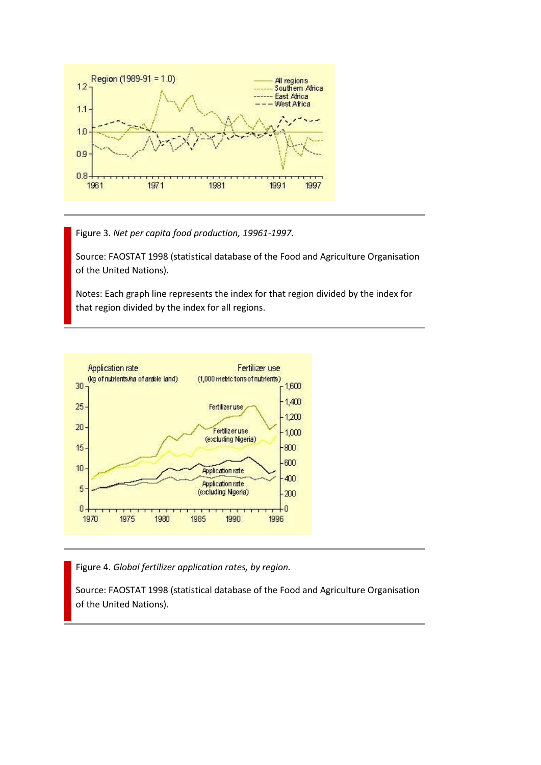

Figure 3. *Net per capita food production, 19961-1997.*

Source: FAOSTAT 1998 (statistical database of the Food and Agriculture Organisation of the United Nations).

Notes: Each graph line represents the index for that region divided by the index for that region divided by the index for all regions.



Figure 4. *Global fertilizer application rates, by region.*

Source: FAOSTAT 1998 (statistical database of the Food and Agriculture Organisation of the United Nations).